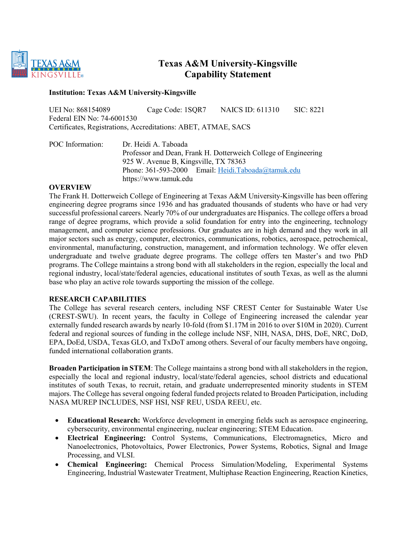

# **Texas A&M University-Kingsville Capability Statement**

#### **Institution: Texas A&M University-Kingsville**

UEI No: 868154089 Cage Code: 1SQR7 NAICS ID: 611310 SIC: 8221 Federal EIN No: 74-6001530 Certificates, Registrations, Accreditations: ABET, ATMAE, SACS

POC Information: Dr. Heidi A. Taboada Professor and Dean, Frank H. Dotterweich College of Engineering 925 W. Avenue B, Kingsville, TX 78363 Phone: 361-593-2000 Email: [Heidi.Taboada@tamuk.edu](mailto:Heidi.Taboada@tamuk.edu) https://www.tamuk.edu

### **OVERVIEW**

The Frank H. Dotterweich College of Engineering at Texas A&M University-Kingsville has been offering engineering degree programs since 1936 and has graduated thousands of students who have or had very successful professional careers. Nearly 70% of our undergraduates are Hispanics. The college offers a broad range of degree programs, which provide a solid foundation for entry into the engineering, technology management, and computer science professions. Our graduates are in high demand and they work in all major sectors such as energy, computer, electronics, communications, robotics, aerospace, petrochemical, environmental, manufacturing, construction, management, and information technology. We offer eleven undergraduate and twelve graduate degree programs. The college offers ten Master's and two PhD programs. The College maintains a strong bond with all stakeholders in the region, especially the local and regional industry, local/state/federal agencies, educational institutes of south Texas, as well as the alumni base who play an active role towards supporting the mission of the college.

#### **RESEARCH CAPABILITIES**

The College has several research centers, including NSF CREST Center for Sustainable Water Use (CREST-SWU). In recent years, the faculty in College of Engineering increased the calendar year externally funded research awards by nearly 10-fold (from \$1.17M in 2016 to over \$10M in 2020). Current federal and regional sources of funding in the college include NSF, NIH, NASA, DHS, DoE, NRC, DoD, EPA, DoEd, USDA, Texas GLO, and TxDoT among others. Several of our faculty members have ongoing, funded international collaboration grants.

**Broaden Participation in STEM**: The College maintains a strong bond with all stakeholders in the region, especially the local and regional industry, local/state/federal agencies, school districts and educational institutes of south Texas, to recruit, retain, and graduate underrepresented minority students in STEM majors. The College has several ongoing federal funded projects related to Broaden Participation, including NASA MUREP INCLUDES, NSF HSI, NSF REU, USDA REEU, etc.

- **Educational Research:** Workforce development in emerging fields such as aerospace engineering, cybersecurity, environmental engineering, nuclear engineering; STEM Education.
- **Electrical Engineering:** Control Systems, Communications, Electromagnetics, Micro and Nanoelectronics, Photovoltaics, Power Electronics, Power Systems, Robotics, Signal and Image Processing, and VLSI.
- **Chemical Engineering:** Chemical Process Simulation/Modeling, Experimental Systems Engineering, Industrial Wastewater Treatment, Multiphase Reaction Engineering, Reaction Kinetics,